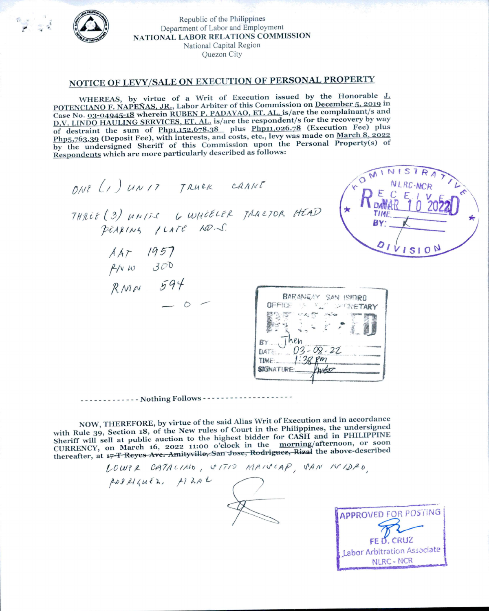

Republic of the Philippines Department of Labor and Employment NATIONAL LABOR RELATIONS COMMISSION National Capital Region Quezon City

## NOTICE OF LEVY/SALE ON EXECUTION OF PERSONAL PROPERTY

WHEREAS, by virtue of a Writ of Execution issued by the Honorable J. POTENCIANO F. NAPEÑAS, JR., Labor Arbiter of this Commission on December 5, 2019 in Case No. 03-04945-18 wherein RUBEN P. PADAYAO, ET. AL. is/are the complainant/s and D.V. LINDO HAULING SERVICES, ET. AL. is/are the respondent/s for the recovery by way of destraint the sum of Php1,152,678.38 plus Php11,026.78 (Execution Fee) plus Php5,763.39 (Deposit Fee), with interests, and costs, etc., levy was made on March 8, 2022 by the undersigned Sheriff of this Commission upon the Personal Property(s) of Respondents which are more particularly described as follows:

MDMINIS ONT (1) UNIT TRUCK CANNT<br>THREE (3) UNITS 6 WHEELER TRACTOR HEAD<br>PEARING PLATE RO.S.  $\left( \star \right)$   $\mathsf{R}_{p, \mathsf{M} \mathsf{A}}^{\mathsf{E}}$ BY<sup>.</sup> 01115104  $\begin{array}{ccc} \nA & 1957 \\
\beta & 0 & 300 \\
\beta & 7 & 594\n\end{array}$ BARANGAY SAN ISIDRO **SETARY**  $03 - 08 - 22$ DATE: **TIME:** SIGNATURE. ----------- Nothing Follows ----------------

NOW, THEREFORE, by virtue of the said Alias Writ of Execution and in accordance with Rule 39, Section 18, of the New rules of Court in the Philippines, the undersigned Sheriff will sell at public auction to the highest bidder for CASH and in PHILIPPINE CURRENCY, on March 16, 2022 11:00 o'clock in the morning/afternoon, or soon thereafter, at 17 T Reyes Ave. Amityville, San Jose, Rodriguez, Rizal the above-described

LOWER CATALINO, VITIO MAISCAP, SAN IVIDRO  $100R16uE$ ,  $12A1$ **APPROVED FOR POSTING** 

FE D. CRUZ Labor Arbitration Associate NLRC - NCR